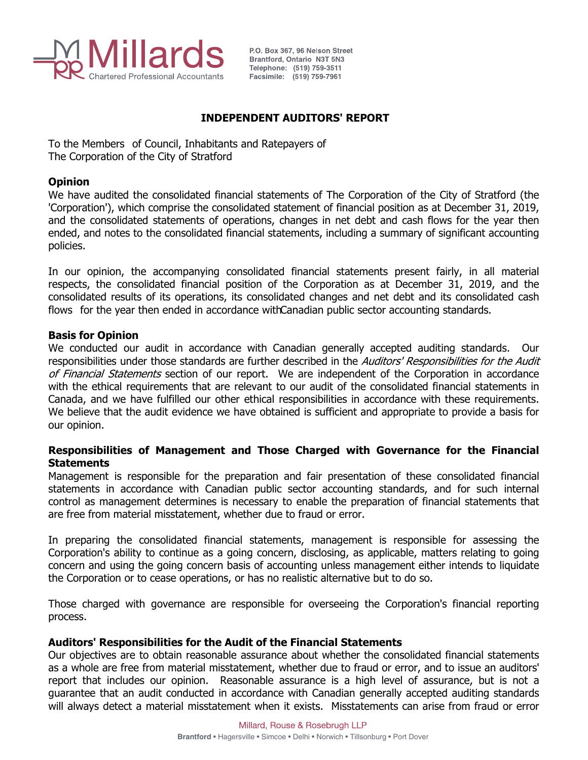

**Telephone: 1678-368** Nelson Street **Facture: Analytic Strutter Property** 

# **INDEPENDENT AUDITORS' REPORT**

To the Members of Council, Inhabitants and Ratepayers of The Corporation of the City of Stratford

# **Opinion**

 We have audited the consolidated financial statements of The Corporation of the City of Stratford (the 'Corporation'), which comprise the consolidated statement of financial position as at December 31, 2019, and the consolidated statements of operations, changes in net debt and cash flows for the year then ended, and notes to the consolidated financial statements, including a summary of significant accounting policies.

 In our opinion, the accompanying consolidated financial statements present fairly, in all material respects, the consolidated financial position of the Corporation as at December 31, 2019, and the consolidated results of its operations, its consolidated changes and net debt and its consolidated cash flows for the year then ended in accordance withCanadian public sector accounting standards.

# **Basis for Opinion**

 We conducted our audit in accordance with Canadian generally accepted auditing standards. Our responsibilities under those standards are further described in the Auditors' Responsibilities for the Audit of Financial Statements section of our report. We are independent of the Corporation in accordance with the ethical requirements that are relevant to our audit of the consolidated financial statements in Canada, and we have fulfilled our other ethical responsibilities in accordance with these requirements. We believe that the audit evidence we have obtained is sufficient and appropriate to provide a basis for our opinion.

# **Responsibilities of Management and Those Charged with Governance for the Financial Statements**

 Management is responsible for the preparation and fair presentation of these consolidated financial statements in accordance with Canadian public sector accounting standards, and for such internal control as management determines is necessary to enable the preparation of financial statements that are free from material misstatement, whether due to fraud or error.

 In preparing the consolidated financial statements, management is responsible for assessing the Corporation's ability to continue as a going concern, disclosing, as applicable, matters relating to going concern and using the going concern basis of accounting unless management either intends to liquidate the Corporation or to cease operations, or has no realistic alternative but to do so.

 Those charged with governance are responsible for overseeing the Corporation's financial reporting process.

# **Auditors' Responsibilities for the Audit of the Financial Statements**

 Our objectives are to obtain reasonable assurance about whether the consolidated financial statements as a whole are free from material misstatement, whether due to fraud or error, and to issue an auditors' report that includes our opinion. Reasonable assurance is a high level of assurance, but is not a guarantee that an audit conducted in accordance with Canadian generally accepted auditing standards will always detect a material misstatement when it exists. Misstatements can arise from fraud or error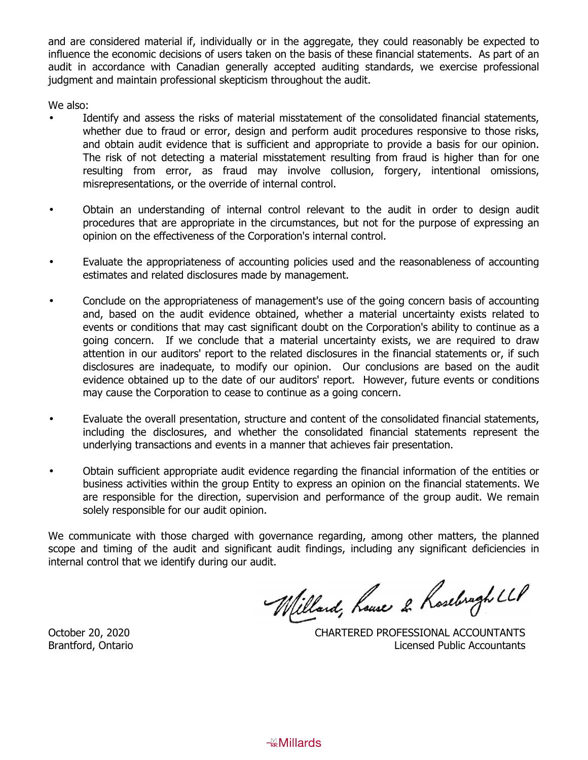and are considered material if, individually or in the aggregate, they could reasonably be expected to influence the economic decisions of users taken on the basis of these financial statements. As part of an audit in accordance with Canadian generally accepted auditing standards, we exercise professional judgment and maintain professional skepticism throughout the audit.

We also:

- • Identify and assess the risks of material misstatement of the consolidated financial statements, whether due to fraud or error, design and perform audit procedures responsive to those risks, and obtain audit evidence that is sufficient and appropriate to provide a basis for our opinion. The risk of not detecting a material misstatement resulting from fraud is higher than for one resulting from error, as fraud may involve collusion, forgery, intentional omissions, misrepresentations, or the override of internal control.
- • Obtain an understanding of internal control relevant to the audit in order to design audit procedures that are appropriate in the circumstances, but not for the purpose of expressing an opinion on the effectiveness of the Corporation's internal control.
- • Evaluate the appropriateness of accounting policies used and the reasonableness of accounting estimates and related disclosures made by management.
- • Conclude on the appropriateness of management's use of the going concern basis of accounting and, based on the audit evidence obtained, whether a material uncertainty exists related to events or conditions that may cast significant doubt on the Corporation's ability to continue as a going concern. If we conclude that a material uncertainty exists, we are required to draw attention in our auditors' report to the related disclosures in the financial statements or, if such disclosures are inadequate, to modify our opinion. Our conclusions are based on the audit evidence obtained up to the date of our auditors' report. However, future events or conditions may cause the Corporation to cease to continue as a going concern.
- • Evaluate the overall presentation, structure and content of the consolidated financial statements, including the disclosures, and whether the consolidated financial statements represent the underlying transactions and events in a manner that achieves fair presentation.
- • Obtain sufficient appropriate audit evidence regarding the financial information of the entities or business activities within the group Entity to express an opinion on the financial statements. We are responsible for the direction, supervision and performance of the group audit. We remain solely responsible for our audit opinion.

 We communicate with those charged with governance regarding, among other matters, the planned scope and timing of the audit and significant audit findings, including any significant deficiencies in internal control that we identify during our audit.

Willard, Louse 2 Losebragh LLP

October 20, 2020 CHARTERED PROFESSIONAL ACCOUNTANTS Brantford, Ontario **Licensed Public Accountants** 

 $-\%$ Millards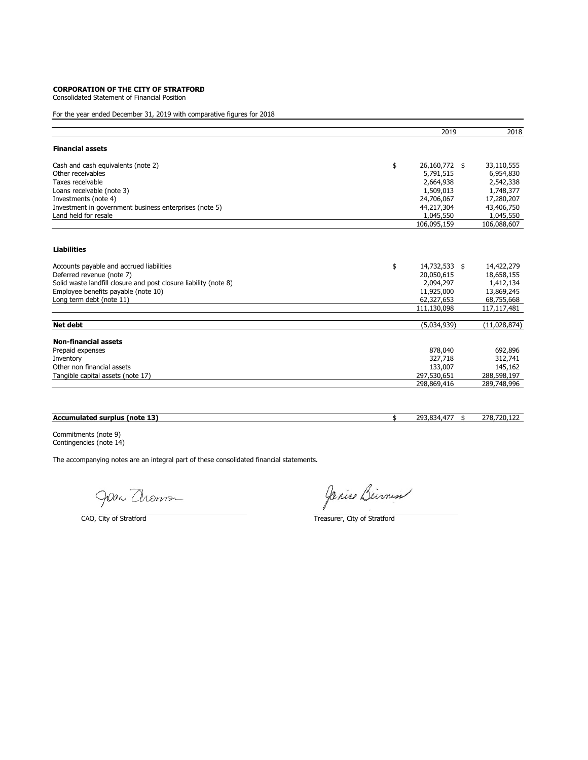Consolidated Statement of Financial Position

### For the year ended December 31, 2019 with comparative figures for 2018

|                                                                  | 2019                   | 2018         |
|------------------------------------------------------------------|------------------------|--------------|
| <b>Financial assets</b>                                          |                        |              |
| Cash and cash equivalents (note 2)                               | \$<br>26,160,772 \$    | 33,110,555   |
| Other receivables                                                | 5,791,515              | 6,954,830    |
| Taxes receivable                                                 | 2,664,938              | 2,542,338    |
| Loans receivable (note 3)                                        | 1,509,013              | 1,748,377    |
| Investments (note 4)                                             | 24,706,067             | 17,280,207   |
| Investment in government business enterprises (note 5)           | 44,217,304             | 43,406,750   |
| Land held for resale                                             | 1,045,550              | 1,045,550    |
|                                                                  | 106,095,159            | 106,088,607  |
|                                                                  |                        |              |
| <b>Liabilities</b>                                               |                        |              |
| Accounts payable and accrued liabilities                         | \$<br>14,732,533<br>\$ | 14,422,279   |
| Deferred revenue (note 7)                                        | 20,050,615             | 18,658,155   |
| Solid waste landfill closure and post closure liability (note 8) | 2,094,297              | 1,412,134    |
| Employee benefits payable (note 10)                              | 11,925,000             | 13,869,245   |
| Long term debt (note 11)                                         | 62,327,653             | 68,755,668   |
|                                                                  | 111,130,098            | 117,117,481  |
| <b>Net debt</b>                                                  | (5,034,939)            | (11,028,874) |
| <b>Non-financial assets</b>                                      |                        |              |
| Prepaid expenses                                                 | 878,040                | 692,896      |
| Inventory                                                        | 327,718                | 312,741      |
| Other non financial assets                                       | 133,007                | 145,162      |
| Tangible capital assets (note 17)                                | 297,530,651            | 288,598,197  |
|                                                                  | 298,869,416            | 289,748,996  |

### **Accumulated surplus (note 13) 3 293,834,477**  $\frac{1}{2}$  **278,720,122**

Commitments (note 9) Contingencies (note 14)

Joan Choma

Opon Chomos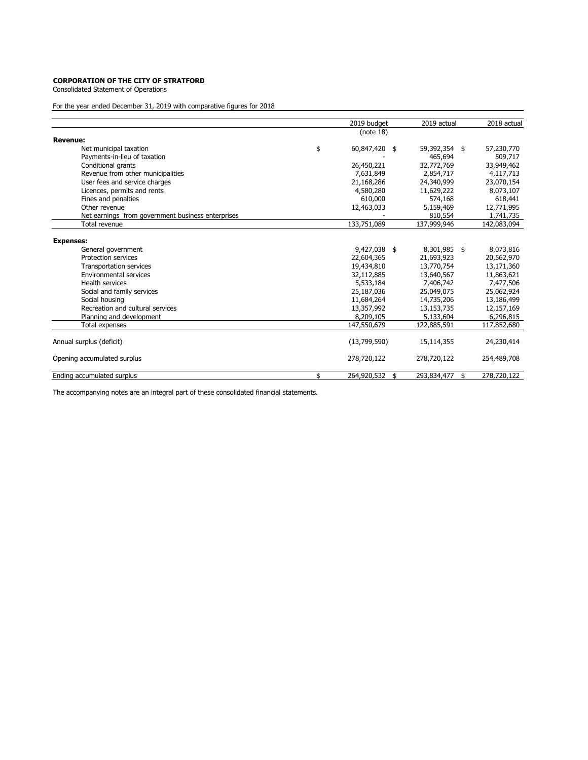Consolidated Statement of Operations

For the year ended December 31, 2019 with comparative figures for 2018

|                                                   | 2019 budget       | 2019 actual         | 2018 actual       |
|---------------------------------------------------|-------------------|---------------------|-------------------|
|                                                   | (note 18)         |                     |                   |
| <b>Revenue:</b>                                   |                   |                     |                   |
| Net municipal taxation                            | \$<br>60,847,420  | \$<br>59,392,354 \$ | 57,230,770        |
| Payments-in-lieu of taxation                      |                   | 465,694             | 509,717           |
| Conditional grants                                | 26,450,221        | 32,772,769          | 33,949,462        |
| Revenue from other municipalities                 | 7,631,849         | 2,854,717           | 4,117,713         |
| User fees and service charges                     | 21,168,286        | 24,340,999          | 23,070,154        |
| Licences, permits and rents                       | 4,580,280         | 11,629,222          | 8,073,107         |
| Fines and penalties                               | 610,000           | 574,168             | 618,441           |
| Other revenue                                     | 12,463,033        | 5,159,469           | 12,771,995        |
| Net earnings from government business enterprises |                   | 810,554             | 1,741,735         |
| Total revenue                                     | 133,751,089       | 137,999,946         | 142,083,094       |
|                                                   |                   |                     |                   |
| <b>Expenses:</b>                                  |                   |                     |                   |
| General government                                | 9,427,038         | \$<br>8,301,985     | \$<br>8,073,816   |
| Protection services                               | 22,604,365        | 21,693,923          | 20,562,970        |
| <b>Transportation services</b>                    | 19,434,810        | 13,770,754          | 13,171,360        |
| <b>Environmental services</b>                     | 32,112,885        | 13,640,567          | 11,863,621        |
| <b>Health services</b>                            | 5,533,184         | 7,406,742           | 7,477,506         |
| Social and family services                        | 25,187,036        | 25,049,075          | 25,062,924        |
| Social housing                                    | 11,684,264        | 14,735,206          | 13,186,499        |
| Recreation and cultural services                  | 13,357,992        | 13,153,735          | 12,157,169        |
| Planning and development                          | 8,209,105         | 5,133,604           | 6,296,815         |
| Total expenses                                    | 147,550,679       | 122,885,591         | 117,852,680       |
| Annual surplus (deficit)                          | (13,799,590)      | 15,114,355          | 24,230,414        |
|                                                   |                   |                     |                   |
| Opening accumulated surplus                       | 278,720,122       | 278,720,122         | 254,489,708       |
| Ending accumulated surplus                        | \$<br>264,920,532 | \$<br>293,834,477   | \$<br>278,720,122 |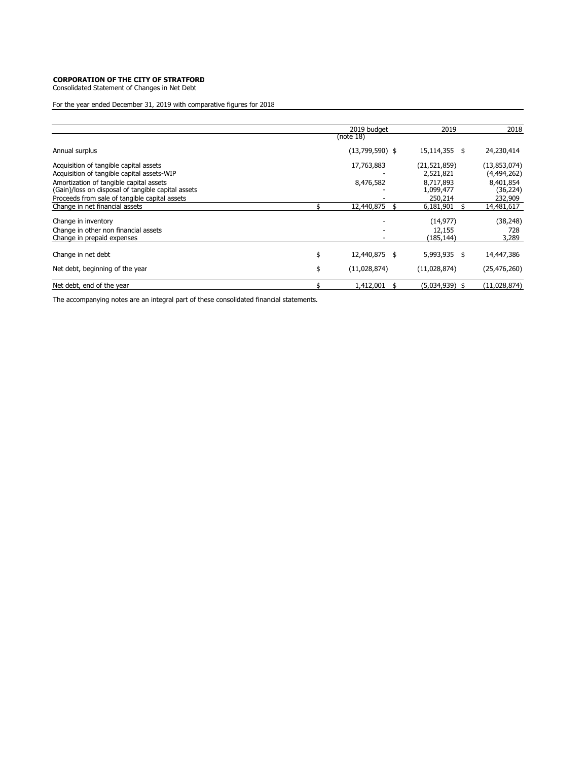Consolidated Statement of Changes in Net Debt

# For the year ended December 31, 2019 with comparative figures for 2018

|                                                    | 2019 budget         | 2019           | 2018           |
|----------------------------------------------------|---------------------|----------------|----------------|
|                                                    | (note 18)           |                |                |
| Annual surplus                                     | $(13,799,590)$ \$   | 15,114,355 \$  | 24,230,414     |
| Acquisition of tangible capital assets             | 17,763,883          | (21, 521, 859) | (13,853,074)   |
| Acquisition of tangible capital assets-WIP         |                     | 2,521,821      | (4,494,262)    |
| Amortization of tangible capital assets            | 8,476,582           | 8,717,893      | 8,401,854      |
| (Gain)/loss on disposal of tangible capital assets |                     | 1,099,477      | (36, 224)      |
| Proceeds from sale of tangible capital assets      |                     | 250,214        | 232,909        |
| Change in net financial assets                     | 12,440,875<br>\$    | 6,181,901      | 14,481,617     |
| Change in inventory                                |                     | (14, 977)      | (38, 248)      |
| Change in other non financial assets               |                     | 12,155         | 728            |
| Change in prepaid expenses                         |                     | (185,144)      | 3,289          |
| Change in net debt                                 | \$<br>12,440,875 \$ | 5,993,935 \$   | 14,447,386     |
| Net debt, beginning of the year                    | \$<br>(11,028,874)  | (11,028,874)   | (25, 476, 260) |
| Net debt, end of the year                          | 1,412,001           | (5,034,939)    | (11,028,874)   |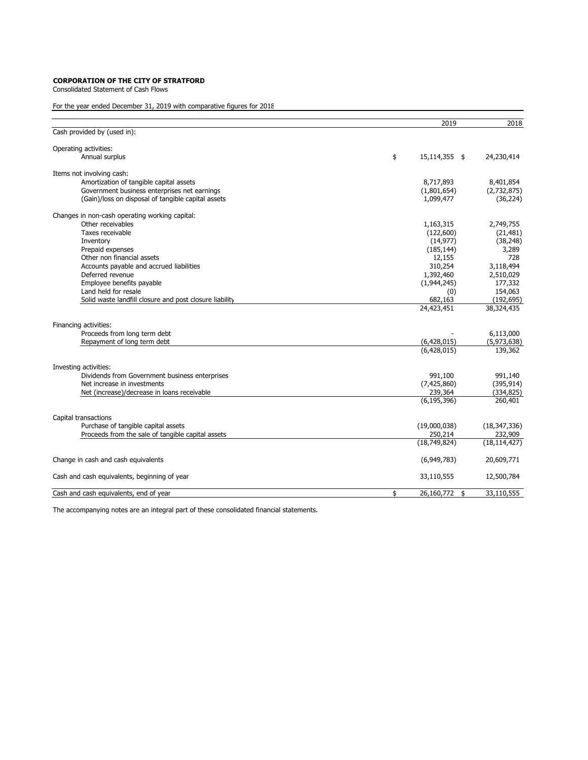Consolidated Statement of Cash Flows

For the year ended December 31, 2019 with comparative figures for 2018

|                                                         | 2019                   | 2018           |
|---------------------------------------------------------|------------------------|----------------|
| Cash provided by (used in):                             |                        |                |
| Operating activities:                                   |                        |                |
| Annual surplus                                          | \$<br>15,114,355 \$    | 24,230,414     |
| Items not involving cash:                               |                        |                |
| Amortization of tangible capital assets                 | 8,717,893              | 8,401,854      |
| Government business enterprises net earnings            | (1,801,654)            | (2,732,875)    |
| (Gain)/loss on disposal of tangible capital assets      | 1,099,477              | (36, 224)      |
| Changes in non-cash operating working capital:          |                        |                |
| Other receivables                                       | 1,163,315              | 2,749,755      |
| Taxes receivable                                        | (122,600)              | (21, 481)      |
| Inventory                                               | (14, 977)              | (38, 248)      |
| Prepaid expenses                                        | (185, 144)             | 3,289          |
| Other non financial assets                              | 12,155                 | 728            |
| Accounts payable and accrued liabilities                | 310,254                | 3,118,494      |
| Deferred revenue                                        | 1,392,460              | 2,510,029      |
| Employee benefits payable                               | (1,944,245)            | 177,332        |
| Land held for resale                                    | (0)                    | 154,063        |
| Solid waste landfill closure and post closure liability | 682,163                | (192, 695)     |
|                                                         | 24,423,451             | 38,324,435     |
| Financing activities:                                   |                        |                |
| Proceeds from long term debt                            |                        | 6,113,000      |
| Repayment of long term debt                             | (6,428,015)            | (5,973,638)    |
|                                                         | (6,428,015)            | 139,362        |
| Investing activities:                                   |                        |                |
| Dividends from Government business enterprises          | 991,100                | 991,140        |
| Net increase in investments                             | (7,425,860)            | (395, 914)     |
| Net (increase)/decrease in loans receivable             | 239,364                | (334, 825)     |
|                                                         | (6, 195, 396)          | 260,401        |
| Capital transactions                                    |                        |                |
| Purchase of tangible capital assets                     | (19,000,038)           | (18, 347, 336) |
| Proceeds from the sale of tangible capital assets       | 250,214                | 232,909        |
|                                                         | (18,749,824)           | (18, 114, 427) |
| Change in cash and cash equivalents                     | (6,949,783)            | 20,609,771     |
| Cash and cash equivalents, beginning of year            | 33,110,555             | 12,500,784     |
| Cash and cash equivalents, end of year                  | \$<br>26,160,772<br>\$ | 33,110,555     |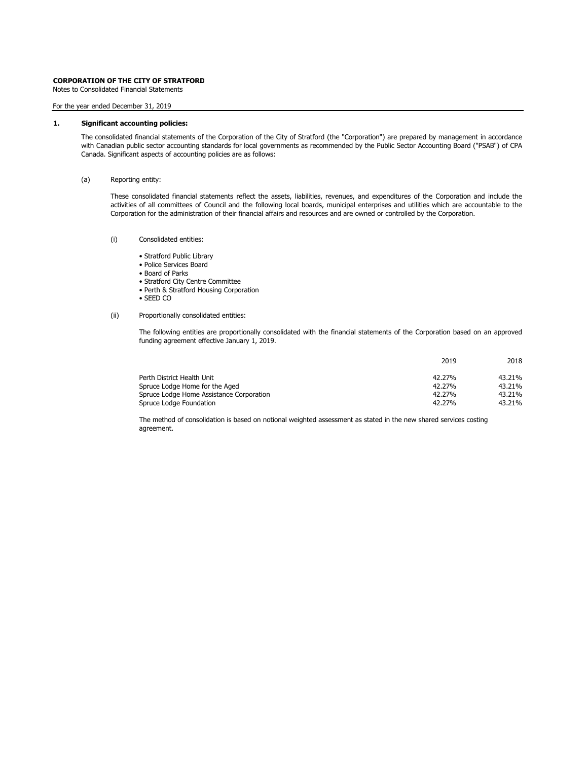Notes to Consolidated Financial Statements

### For the year ended December 31, 2019

### **1. Significant accounting policies:**

The consolidated financial statements of the Corporation of the City of Stratford (the "Corporation") are prepared by management in accordance with Canadian public sector accounting standards for local governments as recommended by the Public Sector Accounting Board ("PSAB") of CPA Canada. Significant aspects of accounting policies are as follows:

(a) Reporting entity:

These consolidated financial statements reflect the assets, liabilities, revenues, and expenditures of the Corporation and include the activities of all committees of Council and the following local boards, municipal enterprises and utilities which are accountable to the Corporation for the administration of their financial affairs and resources and are owned or controlled by the Corporation.

- (i) Consolidated entities:
	- Stratford Public Library
	- Police Services Board
	- Board of Parks
	- Stratford City Centre Committee
	- Perth & Stratford Housing Corporation
	- SEED CO

### (ii) Proportionally consolidated entities:

The following entities are proportionally consolidated with the financial statements of the Corporation based on an approved funding agreement effective January 1, 2019.

|                                          | 2019   | 2018   |
|------------------------------------------|--------|--------|
| Perth District Health Unit               | 42.27% | 43.21% |
| Spruce Lodge Home for the Aged           | 42.27% | 43.21% |
| Spruce Lodge Home Assistance Corporation | 42.27% | 43.21% |
| Spruce Lodge Foundation                  | 42.27% | 43.21% |

The method of consolidation is based on notional weighted assessment as stated in the new shared services costing agreement.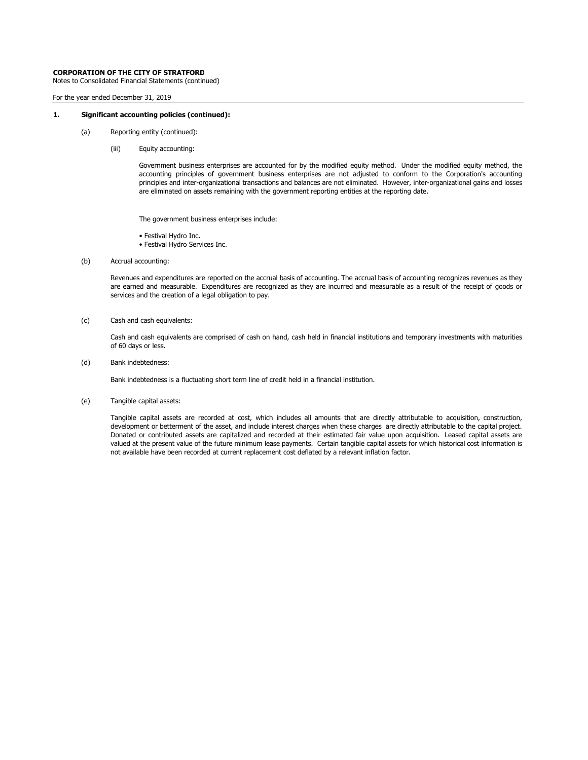Notes to Consolidated Financial Statements (continued)

For the year ended December 31, 2019

### **1. Significant accounting policies (continued):**

- (a) Reporting entity (continued):
	- (iii) Equity accounting:

Government business enterprises are accounted for by the modified equity method. Under the modified equity method, the accounting principles of government business enterprises are not adjusted to conform to the Corporation's accounting principles and inter-organizational transactions and balances are not eliminated. However, inter-organizational gains and losses are eliminated on assets remaining with the government reporting entities at the reporting date.

The government business enterprises include:

- Festival Hydro Inc.
- Festival Hydro Services Inc.
- (b) Accrual accounting:

Revenues and expenditures are reported on the accrual basis of accounting. The accrual basis of accounting recognizes revenues as they are earned and measurable. Expenditures are recognized as they are incurred and measurable as a result of the receipt of goods or services and the creation of a legal obligation to pay.

(c) Cash and cash equivalents:

Cash and cash equivalents are comprised of cash on hand, cash held in financial institutions and temporary investments with maturities of 60 days or less.

(d) Bank indebtedness:

Bank indebtedness is a fluctuating short term line of credit held in a financial institution.

(e) Tangible capital assets:

Tangible capital assets are recorded at cost, which includes all amounts that are directly attributable to acquisition, construction, development or betterment of the asset, and include interest charges when these charges are directly attributable to the capital project. Donated or contributed assets are capitalized and recorded at their estimated fair value upon acquisition. Leased capital assets are valued at the present value of the future minimum lease payments. Certain tangible capital assets for which historical cost information is not available have been recorded at current replacement cost deflated by a relevant inflation factor.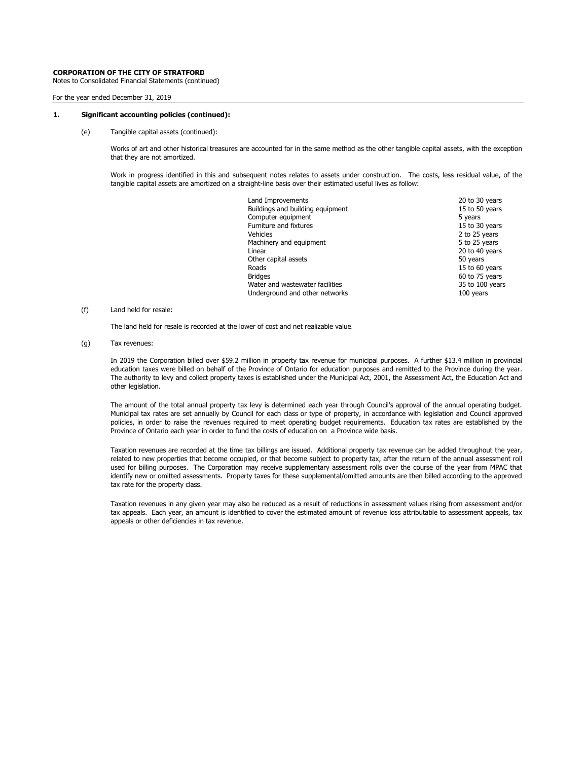Notes to Consolidated Financial Statements (continued)

For the year ended December 31, 2019

### **1. Significant accounting policies (continued):**

(e) Tangible capital assets (continued):

Works of art and other historical treasures are accounted for in the same method as the other tangible capital assets, with the exception that they are not amortized.

Work in progress identified in this and subsequent notes relates to assets under construction. The costs, less residual value, of the tangible capital assets are amortized on a straight-line basis over their estimated useful lives as follow:

| 20 to 30 years  |
|-----------------|
| 15 to 50 years  |
| 5 years         |
| 15 to 30 years  |
| 2 to 25 years   |
| 5 to 25 years   |
| 20 to 40 years  |
| 50 years        |
| 15 to 60 years  |
| 60 to 75 years  |
| 35 to 100 years |
| 100 years       |
|                 |

### (f) Land held for resale:

The land held for resale is recorded at the lower of cost and net realizable value.

#### (g) Tax revenues:

In 2019 the Corporation billed over \$59.2 million in property tax revenue for municipal purposes. A further \$13.4 million in provincial education taxes were billed on behalf of the Province of Ontario for education purposes and remitted to the Province during the year. The authority to levy and collect property taxes is established under the Municipal Act, 2001, the Assessment Act, the Education Act and other legislation.

The amount of the total annual property tax levy is determined each year through Council's approval of the annual operating budget. Municipal tax rates are set annually by Council for each class or type of property, in accordance with legislation and Council approved policies, in order to raise the revenues required to meet operating budget requirements. Education tax rates are established by the Province of Ontario each year in order to fund the costs of education on a Province wide basis.

Taxation revenues are recorded at the time tax billings are issued. Additional property tax revenue can be added throughout the year, related to new properties that become occupied, or that become subject to property tax, after the return of the annual assessment roll used for billing purposes. The Corporation may receive supplementary assessment rolls over the course of the year from MPAC that identify new or omitted assessments. Property taxes for these supplemental/omitted amounts are then billed according to the approved tax rate for the property class.

Taxation revenues in any given year may also be reduced as a result of reductions in assessment values rising from assessment and/or tax appeals. Each year, an amount is identified to cover the estimated amount of revenue loss attributable to assessment appeals, tax appeals or other deficiencies in tax revenue.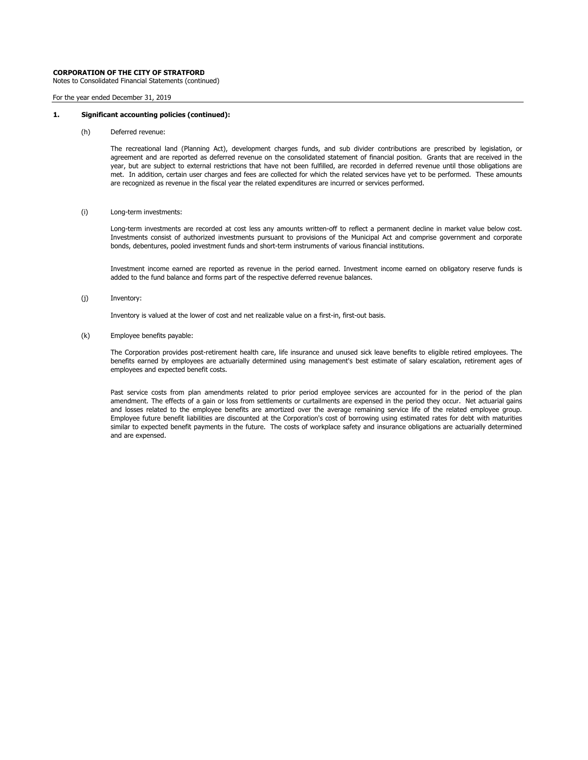Notes to Consolidated Financial Statements (continued)

For the year ended December 31, 2019

### **1. Significant accounting policies (continued):**

(h) Deferred revenue:

The recreational land (Planning Act), development charges funds, and sub divider contributions are prescribed by legislation, or agreement and are reported as deferred revenue on the consolidated statement of financial position. Grants that are received in the year, but are subject to external restrictions that have not been fulfilled, are recorded in deferred revenue until those obligations are met. In addition, certain user charges and fees are collected for which the related services have yet to be performed. These amounts are recognized as revenue in the fiscal year the related expenditures are incurred or services performed.

### (i) Long-term investments:

Long-term investments are recorded at cost less any amounts written-off to reflect a permanent decline in market value below cost. Investments consist of authorized investments pursuant to provisions of the Municipal Act and comprise government and corporate bonds, debentures, pooled investment funds and short-term instruments of various financial institutions.

Investment income earned are reported as revenue in the period earned. Investment income earned on obligatory reserve funds is added to the fund balance and forms part of the respective deferred revenue balances.

(j) Inventory:

Inventory is valued at the lower of cost and net realizable value on a first-in, first-out basis.

(k) Employee benefits payable:

The Corporation provides post-retirement health care, life insurance and unused sick leave benefits to eligible retired employees. The benefits earned by employees are actuarially determined using management's best estimate of salary escalation, retirement ages of employees and expected benefit costs.

Past service costs from plan amendments related to prior period employee services are accounted for in the period of the plan amendment. The effects of a gain or loss from settlements or curtailments are expensed in the period they occur. Net actuarial gains and losses related to the employee benefits are amortized over the average remaining service life of the related employee group. Employee future benefit liabilities are discounted at the Corporation's cost of borrowing using estimated rates for debt with maturities similar to expected benefit payments in the future. The costs of workplace safety and insurance obligations are actuarially determined and are expensed.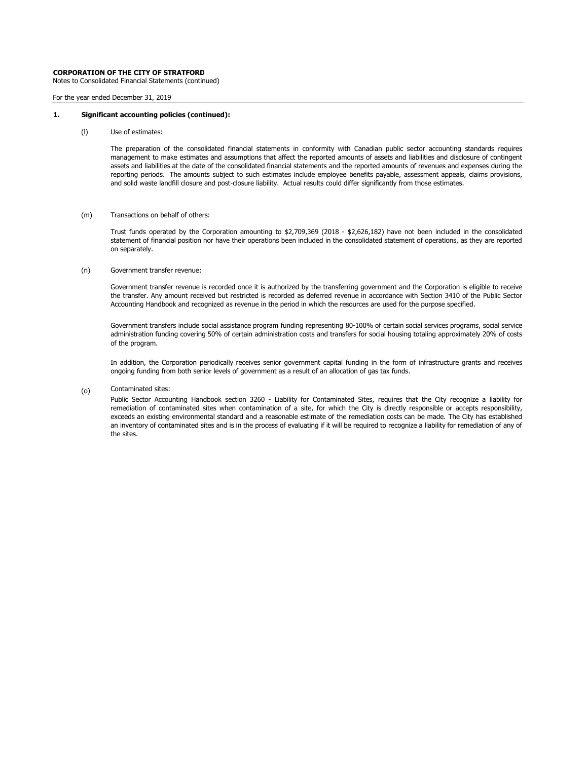Notes to Consolidated Financial Statements (continued)

For the year ended December 31, 2019

# **1. Significant accounting policies (continued):**

(l) Use of estimates:

The preparation of the consolidated financial statements in conformity with Canadian public sector accounting standards requires management to make estimates and assumptions that affect the reported amounts of assets and liabilities and disclosure of contingent assets and liabilities at the date of the consolidated financial statements and the reported amounts of revenues and expenses during the reporting periods. The amounts subject to such estimates include employee benefits payable, assessment appeals, claims provisions, and solid waste landfill closure and post-closure liability. Actual results could differ significantly from those estimates.

#### (m) Transactions on behalf of others:

Trust funds operated by the Corporation amounting to \$2,709,369 (2018 - \$2,626,182) have not been included in the consolidated statement of financial position nor have their operations been included in the consolidated statement of operations, as they are reported on separately.

#### (n) Government transfer revenue:

Government transfer revenue is recorded once it is authorized by the transferring government and the Corporation is eligible to receive the transfer. Any amount received but restricted is recorded as deferred revenue in accordance with Section 3410 of the Public Sector Accounting Handbook and recognized as revenue in the period in which the resources are used for the purpose specified.

Government transfers include social assistance program funding representing 80-100% of certain social services programs, social service administration funding covering 50% of certain administration costs and transfers for social housing totaling approximately 20% of costs of the program.

In addition, the Corporation periodically receives senior government capital funding in the form of infrastructure grants and receives ongoing funding from both senior levels of government as a result of an allocation of gas tax funds.

Contaminated sites: (o)

Public Sector Accounting Handbook section 3260 - Liability for Contaminated Sites, requires that the City recognize a liability for remediation of contaminated sites when contamination of a site, for which the City is directly responsible or accepts responsibility, exceeds an existing environmental standard and a reasonable estimate of the remediation costs can be made. The City has established an inventory of contaminated sites and is in the process of evaluating if it will be required to recognize a liability for remediation of any of the sites.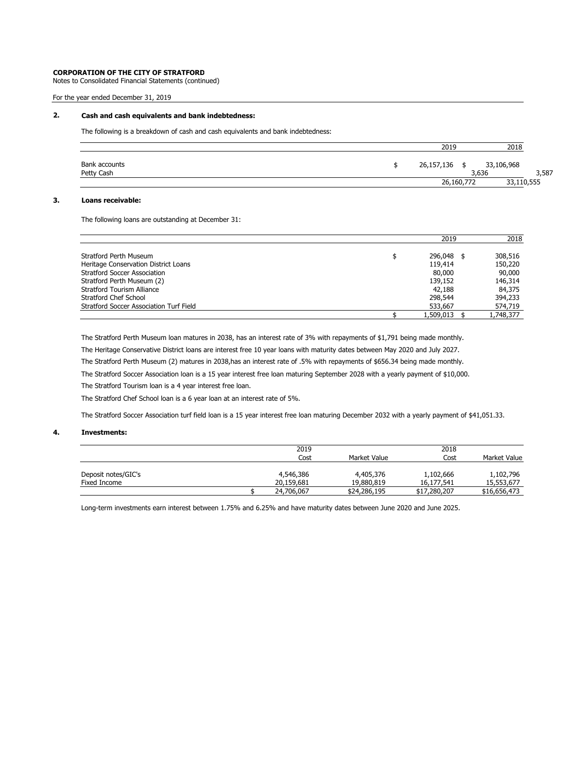Notes to Consolidated Financial Statements (continued)

For the year ended December 31, 2019

### **2. Cash and cash equivalents and bank indebtedness:**

The following is a breakdown of cash and cash equivalents and bank indebtedness:

|                             | 2019       | 2018                |       |
|-----------------------------|------------|---------------------|-------|
| Bank accounts<br>Petty Cash | 26,157,136 | 33,106,968<br>3,636 | 3,587 |
|                             | 26,160,772 | 33,110,555          |       |

### **3. Loans receivable:**

The following loans are outstanding at December 31:

|                                                | 2019      |      | 2018      |
|------------------------------------------------|-----------|------|-----------|
|                                                |           |      |           |
| Stratford Perth Museum                         | 296,048   | - \$ | 308,516   |
| Heritage Conservation District Loans           | 119,414   |      | 150,220   |
| <b>Stratford Soccer Association</b>            | 80,000    |      | 90,000    |
| Stratford Perth Museum (2)                     | 139,152   |      | 146,314   |
| <b>Stratford Tourism Alliance</b>              | 42,188    |      | 84,375    |
| Stratford Chef School                          | 298,544   |      | 394,233   |
| <b>Stratford Soccer Association Turf Field</b> | 533,667   |      | 574,719   |
|                                                | 1,509,013 |      | 1,748,377 |

The Stratford Perth Museum loan matures in 2038, has an interest rate of 3% with repayments of \$1,791 being made monthly.

The Heritage Conservative District loans are interest free 10 year loans with maturity dates between May 2020 and July 2027.

The Stratford Perth Museum (2) matures in 2038,has an interest rate of .5% with repayments of \$656.34 being made monthly.

The Stratford Soccer Association loan is a 15 year interest free loan maturing September 2028 with a yearly payment of \$10,000.

The Stratford Tourism loan is a 4 year interest free loan.

The Stratford Chef School loan is a 6 year loan at an interest rate of 5%.

The Stratford Soccer Association turf field loan is a 15 year interest free loan maturing December 2032 with a yearly payment of [\\$41,051.33.](https://41,051.33)

### **4. Investments:**

|                     | 2019       |              | 2018         |              |
|---------------------|------------|--------------|--------------|--------------|
|                     | Cost       | Market Value | Cost         | Market Value |
|                     |            |              |              |              |
| Deposit notes/GIC's | 4,546,386  | 4,405,376    | 1,102,666    | 1,102,796    |
| Fixed Income        | 20,159,681 | 19,880,819   | 16,177,541   | 15,553,677   |
|                     | 24,706,067 | \$24,286,195 | \$17,280,207 | \$16,656,473 |

Long-term investments earn interest between 1.75% and 6.25% and have maturity dates between June 2020 and June 2025.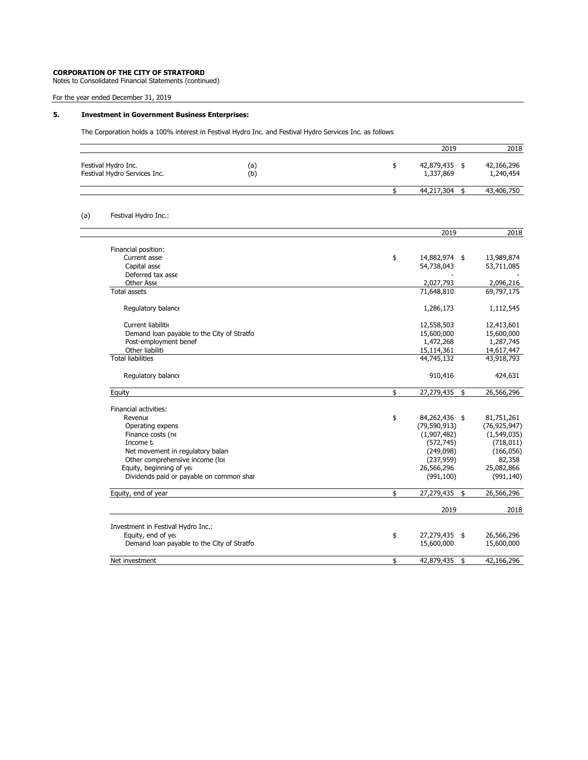Notes to Consolidated Financial Statements (continued)

# For the year ended December 31, 2019

# **5. Investment in Government Business Enterprises:**

The Corporation holds a 100% interest in Festival Hydro Inc. and Festival Hydro Services Inc. as follows:

|     |                                                                   | 2019                                | 2018                    |
|-----|-------------------------------------------------------------------|-------------------------------------|-------------------------|
|     | Festival Hydro Inc.<br>(a)<br>Festival Hydro Services Inc.<br>(b) | \$<br>42,879,435<br>\$<br>1,337,869 | 42,166,296<br>1,240,454 |
|     |                                                                   | \$<br>44,217,304<br>\$              | 43,406,750              |
| (a) | Festival Hydro Inc.:                                              |                                     |                         |
|     |                                                                   | 2019                                | 2018                    |
|     | Financial position:                                               |                                     |                         |
|     | Current asse                                                      | \$<br>14,882,974 \$                 | 13,989,874              |
|     | Capital asse                                                      | 54,738,043                          | 53,711,085              |
|     | Deferred tax asse                                                 |                                     |                         |
|     | Other Asse                                                        | 2,027,793                           | 2,096,216               |
|     | <b>Total assets</b>                                               | 71,648,810                          | 69,797,175              |
|     | Regulatory balance                                                | 1,286,173                           | 1,112,545               |
|     | Current liabilitio                                                | 12,558,503                          | 12,413,601              |
|     | Demand loan payable to the City of Stratfo                        | 15,600,000                          | 15,600,000              |
|     | Post-employment benef                                             | 1,472,268                           | 1,287,745               |
|     | Other liabiliti                                                   | 15,114,361                          | 14,617,447              |
|     | <b>Total liabilities</b>                                          | 44,745,132                          | 43,918,793              |
|     | Regulatory balance                                                | 910,416                             | 424,631                 |
|     | Equity                                                            | \$<br>27,279,435<br>\$              | 26,566,296              |
|     | Financial activities:                                             |                                     |                         |
|     | Revenue                                                           | \$<br>84,262,436 \$                 | 81,751,261              |
|     | Operating expens                                                  | (79, 590, 913)                      | (76, 925, 947)          |
|     | Finance costs (ne                                                 | (1,907,482)                         | (1,549,035)             |
|     | Income t                                                          | (572, 745)                          | (718, 011)              |
|     | Net movement in regulatory balan                                  | (249,098)                           | (166, 056)              |
|     | Other comprehensive income (los                                   | (237, 959)                          | 82,358                  |
|     | Equity, beginning of yea                                          | 26,566,296                          | 25,082,866              |
|     | Dividends paid or payable on common shar                          | (991, 100)                          | (991, 140)              |
|     | Equity, end of year                                               | \$<br>27,279,435<br>\$              | 26,566,296              |
|     |                                                                   | 2019                                | 2018                    |
|     | Investment in Festival Hydro Inc.:                                |                                     |                         |
|     | Equity, end of yea                                                | \$<br>27,279,435<br>\$              | 26,566,296              |
|     | Demand loan payable to the City of Stratfo                        | 15,600,000                          | 15,600,000              |
|     | Net investment                                                    | \$<br>42,879,435<br>\$              | 42,166,296              |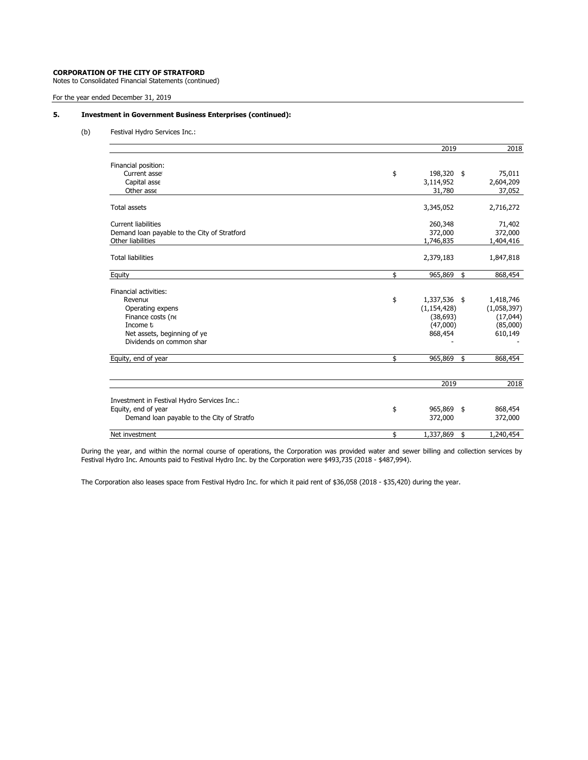Notes to Consolidated Financial Statements (continued)

For the year ended December 31, 2019

### **5. Investment in Government Business Enterprises (continued):**

(b) Festival Hydro Services Inc.:

|                                              | 2019                  | 2018        |
|----------------------------------------------|-----------------------|-------------|
| Financial position:                          |                       |             |
| Current asse                                 | \$<br>198,320 \$      | 75,011      |
| Capital asse                                 | 3,114,952             | 2,604,209   |
| Other asse                                   | 31,780                | 37,052      |
| <b>Total assets</b>                          | 3,345,052             | 2,716,272   |
| Current liabilities                          | 260,348               | 71,402      |
| Demand loan payable to the City of Stratford | 372,000               | 372,000     |
| Other liabilities                            | 1,746,835             | 1,404,416   |
| <b>Total liabilities</b>                     | 2,379,183             | 1,847,818   |
| Equity                                       | \$<br>965,869<br>\$   | 868,454     |
| Financial activities:                        |                       |             |
| Revenue                                      | \$<br>1,337,536 \$    | 1,418,746   |
| Operating expens                             | (1, 154, 428)         | (1,058,397) |
| Finance costs (ne                            | (38, 693)             | (17,044)    |
| Income t                                     | (47,000)              | (85,000)    |
| Net assets, beginning of ye                  | 868,454               | 610,149     |
| Dividends on common shar                     |                       |             |
| Equity, end of year                          | \$<br>965,869<br>\$   | 868,454     |
|                                              | 2019                  | 2018        |
| Investment in Festival Hydro Services Inc.:  |                       |             |
| Equity, end of year                          | \$<br>965,869<br>\$   | 868,454     |
| Demand loan payable to the City of Stratfo   | 372,000               | 372,000     |
| Net investment                               | \$<br>1,337,869<br>\$ | 1,240,454   |

During the year, and within the normal course of operations, the Corporation was provided water and sewer billing and collection services by Festival Hydro Inc. Amounts paid to Festival Hydro Inc. by the Corporation were \$493,735 (2018 - \$487,994).

The Corporation also leases space from Festival Hydro Inc. for which it paid rent of \$36,058 (2018 - \$35,420) during the year.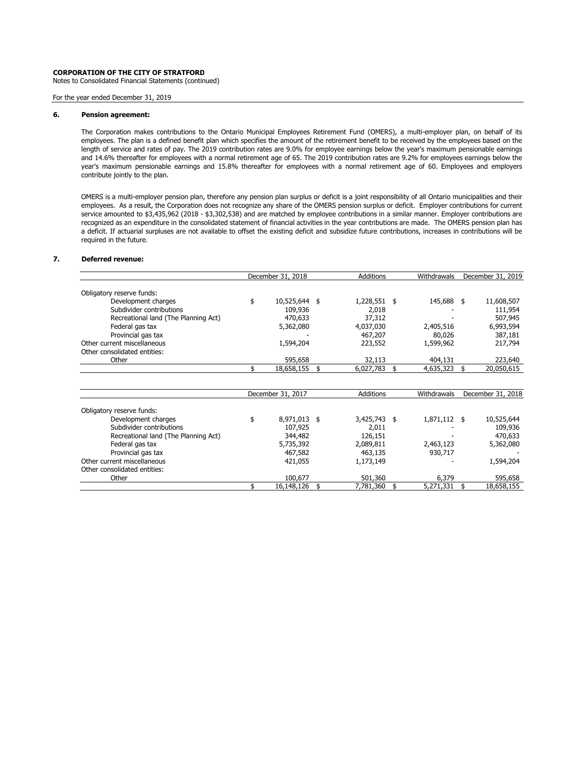Notes to Consolidated Financial Statements (continued)

### For the year ended December 31, 2019

### **6. Pension agreement:**

The Corporation makes contributions to the Ontario Municipal Employees Retirement Fund (OMERS), a multi-employer plan, on behalf of its employees. The plan is a defined benefit plan which specifies the amount of the retirement benefit to be received by the employees based on the length of service and rates of pay. The 2019 contribution rates are 9.0% for employee earnings below the year's maximum pensionable earnings and 14.6% thereafter for employees with a normal retirement age of 65. The 2019 contribution rates are 9.2% for employees earnings below the year's maximum pensionable earnings and 15.8% thereafter for employees with a normal retirement age of 60. Employees and employers contribute jointly to the plan.

OMERS is a multi-employer pension plan, therefore any pension plan surplus or deficit is a joint responsibility of all Ontario municipalities and their employees. As a result, the Corporation does not recognize any share of the OMERS pension surplus or deficit. Employer contributions for current service amounted to \$3,435,962 (2018 - \$3,302,538) and are matched by employee contributions in a similar manner. Employer contributions are recognized as an expenditure in the consolidated statement of financial activities in the year contributions are made. The OMERS pension plan has a deficit. If actuarial surpluses are not available to offset the existing deficit and subsidize future contributions, increases in contributions will be required in the future.

### **7. Deferred revenue:**

|                                      | December 31, 2018   | <b>Additions</b> | Withdrawals        | December 31, 2019 |
|--------------------------------------|---------------------|------------------|--------------------|-------------------|
| Obligatory reserve funds:            |                     |                  |                    |                   |
| Development charges                  | \$<br>10,525,644 \$ | 1,228,551        | \$<br>145,688 \$   | 11,608,507        |
| Subdivider contributions             | 109,936             | 2,018            |                    | 111,954           |
| Recreational land (The Planning Act) | 470,633             | 37,312           |                    | 507,945           |
| Federal gas tax                      | 5,362,080           | 4,037,030        | 2,405,516          | 6,993,594         |
| Provincial gas tax                   |                     | 467,207          | 80,026             | 387,181           |
| Other current miscellaneous          | 1,594,204           | 223,552          | 1,599,962          | 217,794           |
| Other consolidated entities:         |                     |                  |                    |                   |
| Other                                | 595,658             | 32,113           | 404,131            | 223,640           |
|                                      | 18,658,155          | \$<br>6,027,783  | 4,635,323          | 20,050,615        |
|                                      | December 31, 2017   | <b>Additions</b> | Withdrawals        | December 31, 2018 |
| Obligatory reserve funds:            |                     |                  |                    |                   |
| Development charges                  | \$<br>8,971,013     | \$<br>3,425,743  | \$<br>1,871,112 \$ | 10,525,644        |
| Subdivider contributions             | 107,925             | 2,011            |                    | 109,936           |
| Recreational land (The Planning Act) | 344,482             | 126,151          |                    | 470,633           |
| Federal gas tax                      | 5,735,392           | 2,089,811        | 2,463,123          | 5,362,080         |
| Provincial gas tax                   | 467,582             | 463,135          | 930,717            |                   |
| Other current miscellaneous          | 421,055             | 1,173,149        |                    | 1,594,204         |
| Other consolidated entities:         |                     |                  |                    |                   |
| Other                                | 100,677             | 501,360          | 6,379              | 595,658           |
|                                      | \$<br>16,148,126    | \$<br>7,781,360  | \$<br>5,271,331    | \$<br>18,658,155  |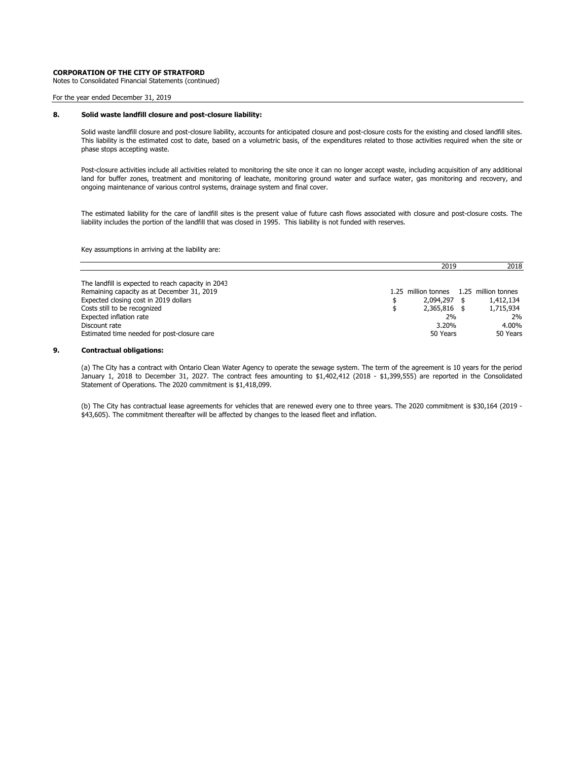Notes to Consolidated Financial Statements (continued)

For the year ended December 31, 2019

### **8. Solid waste landfill closure and post-closure liability:**

Solid waste landfill closure and post-closure liability, accounts for anticipated closure and post-closure costs for the existing and closed landfill sites. This liability is the estimated cost to date, based on a volumetric basis, of the expenditures related to those activities required when the site or phase stops accepting waste.

Post-closure activities include all activities related to monitoring the site once it can no longer accept waste, including acquisition of any additional land for buffer zones, treatment and monitoring of leachate, monitoring ground water and surface water, gas monitoring and recovery, and ongoing maintenance of various control systems, drainage system and final cover.

The estimated liability for the care of landfill sites is the present value of future cash flows associated with closure and post-closure costs. The liability includes the portion of the landfill that was closed in 1995. This liability is not funded with reserves.

Key assumptions in arriving at the liability are:

|                                                    | 2019                                    | 2018      |
|----------------------------------------------------|-----------------------------------------|-----------|
| The landfill is expected to reach capacity in 2043 |                                         |           |
| Remaining capacity as at December 31, 2019         | 1.25 million tonnes 1.25 million tonnes |           |
| Expected closing cost in 2019 dollars              | 2,094,297                               | 1,412,134 |
| Costs still to be recognized                       | 2,365,816 \$                            | 1,715,934 |
| Expected inflation rate                            | 2%                                      | 2%        |
| Discount rate                                      | 3.20%                                   | 4.00%     |
| Estimated time needed for post-closure care        | 50 Years                                | 50 Years  |

### **9. Contractual obligations:**

(a) The City has a contract with Ontario Clean Water Agency to operate the sewage system. The term of the agreement is 10 years for the period January 1, 2018 to December 31, 2027. The contract fees amounting to \$1,402,412 (2018 - \$1,399,555) are reported in the Consolidated Statement of Operations. The 2020 commitment is \$1,418,099.

(b) The City has contractual lease agreements for vehicles that are renewed every one to three years. The 2020 commitment is \$30,164 (2019 -\$43,605). The commitment thereafter will be affected by changes to the leased fleet and inflation.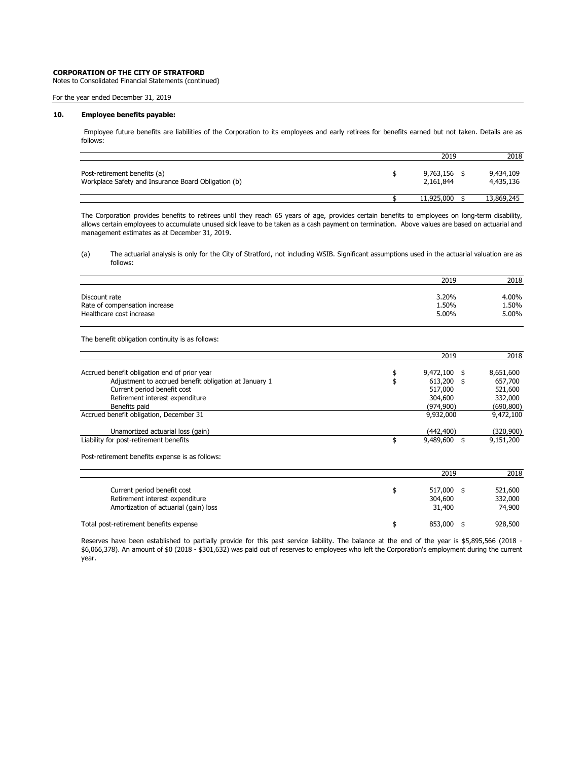Notes to Consolidated Financial Statements (continued)

### For the year ended December 31, 2019

### **10. Employee benefits payable:**

Employee future benefits are liabilities of the Corporation to its employees and early retirees for benefits earned but not taken. Details are as follows:

|                                                                                     | 2019                   | 2018                   |
|-------------------------------------------------------------------------------------|------------------------|------------------------|
| Post-retirement benefits (a)<br>Workplace Safety and Insurance Board Obligation (b) | 9,763,156<br>2,161,844 | 9,434,109<br>4,435,136 |
|                                                                                     | 11,925,000             | 13,869,245             |

The Corporation provides benefits to retirees until they reach 65 years of age, provides certain benefits to employees on long-term disability, allows certain employees to accumulate unused sick leave to be taken as a cash payment on termination. Above values are based on actuarial and management estimates as at December 31, 2019.

### (a) The actuarial analysis is only for the City of Stratford, not including WSIB. Significant assumptions used in the actuarial valuation are as follows:

|                               | 2019  | 2018  |
|-------------------------------|-------|-------|
|                               |       |       |
| Discount rate                 | 3.20% | 4.00% |
| Rate of compensation increase | 1.50% | 1.50% |
| Healthcare cost increase      | 5.00% | 5.00% |
|                               |       |       |

The benefit obligation continuity is as follows:

|                                                       | 2019       | 2018       |
|-------------------------------------------------------|------------|------------|
| Accrued benefit obligation end of prior year          | 9,472,100  | 8,651,600  |
| Adjustment to accrued benefit obligation at January 1 | 613,200    | 657,700    |
| Current period benefit cost                           | 517,000    | 521,600    |
| Retirement interest expenditure                       | 304,600    | 332,000    |
| Benefits paid                                         | (974, 900) | (690, 800) |
| Accrued benefit obligation, December 31               | 9,932,000  | 9,472,100  |
| Unamortized actuarial loss (gain)                     | (442, 400) | (320,900)  |
| Liability for post-retirement benefits                | 9,489,600  | 9,151,200  |

Post-retirement benefits expense is as follows:

|                                        | 2019    | 2018    |
|----------------------------------------|---------|---------|
| Current period benefit cost            | 517,000 | 521,600 |
| Retirement interest expenditure        | 304,600 | 332,000 |
| Amortization of actuarial (gain) loss  | 31,400  | 74,900  |
| Total post-retirement benefits expense | 853,000 | 928,500 |

Reserves have been established to partially provide for this past service liability. The balance at the end of the year is \$5,895,566 (2018 - \$6,066,378). An amount of \$0 (2018 - \$301,632) was paid out of reserves to employees who left the Corporation's employment during the current year.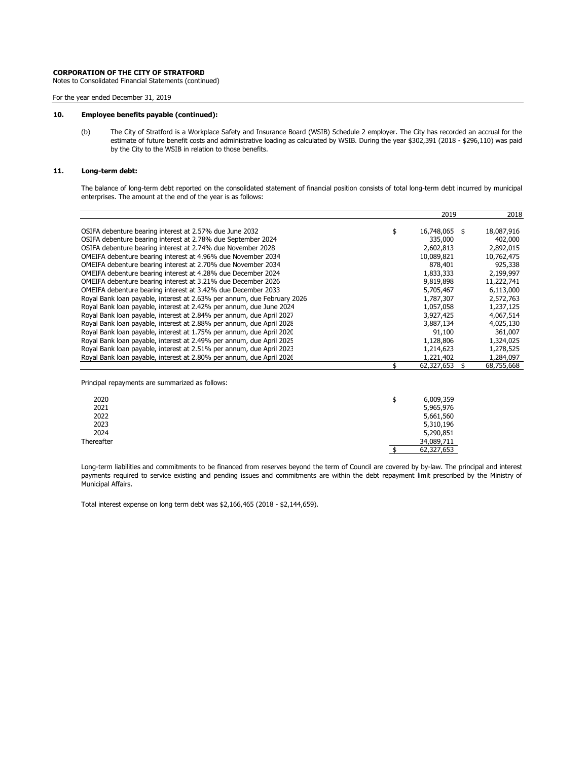Notes to Consolidated Financial Statements (continued)

For the year ended December 31, 2019

### **10. Employee benefits payable (continued):**

(b) The City of Stratford is a Workplace Safety and Insurance Board (WSIB) Schedule 2 employer. The City has recorded an accrual for the estimate of future benefit costs and administrative loading as calculated by WSIB. During the year \$302,391 (2018 - \$296,110) was paid by the City to the WSIB in relation to those benefits.

### **11. Long-term debt:**

The balance of long-term debt reported on the consolidated statement of financial position consists of total long-term debt incurred by municipal enterprises. The amount at the end of the year is as follows:

|                                                                         | 2019             | 2018             |
|-------------------------------------------------------------------------|------------------|------------------|
| OSIFA debenture bearing interest at 2.57% due June 2032                 | \$<br>16,748,065 | \$<br>18,087,916 |
| OSIFA debenture bearing interest at 2.78% due September 2024            | 335,000          | 402,000          |
| OSIFA debenture bearing interest at 2.74% due November 2028             | 2,602,813        | 2,892,015        |
| OMEIFA debenture bearing interest at 4.96% due November 2034            | 10,089,821       | 10,762,475       |
| OMEIFA debenture bearing interest at 2.70% due November 2034            | 878,401          | 925,338          |
| OMEIFA debenture bearing interest at 4.28% due December 2024            | 1,833,333        | 2,199,997        |
| OMEIFA debenture bearing interest at 3.21% due December 2026            | 9,819,898        | 11,222,741       |
| OMEIFA debenture bearing interest at 3.42% due December 2033            | 5,705,467        | 6,113,000        |
| Royal Bank loan payable, interest at 2.63% per annum, due February 2026 | 1,787,307        | 2,572,763        |
| Royal Bank loan payable, interest at 2.42% per annum, due June 2024     | 1,057,058        | 1,237,125        |
| Royal Bank loan payable, interest at 2.84% per annum, due April 2027    | 3,927,425        | 4,067,514        |
| Royal Bank loan payable, interest at 2.88% per annum, due April 2028    | 3,887,134        | 4,025,130        |
| Royal Bank loan payable, interest at 1.75% per annum, due April 2020    | 91,100           | 361,007          |
| Royal Bank loan payable, interest at 2.49% per annum, due April 2025    | 1,128,806        | 1,324,025        |
| Royal Bank loan payable, interest at 2.51% per annum, due April 2023    | 1,214,623        | 1,278,525        |
| Royal Bank loan payable, interest at 2.80% per annum, due April 2026    | 1,221,402        | 1,284,097        |
|                                                                         | 62,327,653       | 68,755,668       |

Principal repayments are summarized as follows:

| 2020       | 6,009,359<br>\$ |
|------------|-----------------|
| 2021       | 5,965,976       |
| 2022       | 5,661,560       |
| 2023       | 5,310,196       |
| 2024       | 5,290,851       |
| Thereafter | 34,089,711      |
|            | 62,327,653      |

Long-term liabilities and commitments to be financed from reserves beyond the term of Council are covered by by-law. The principal and interest payments required to service existing and pending issues and commitments are within the debt repayment limit prescribed by the Ministry of Municipal Affairs.

Total interest expense on long term debt was \$2,166,465 (2018 - \$2,144,659).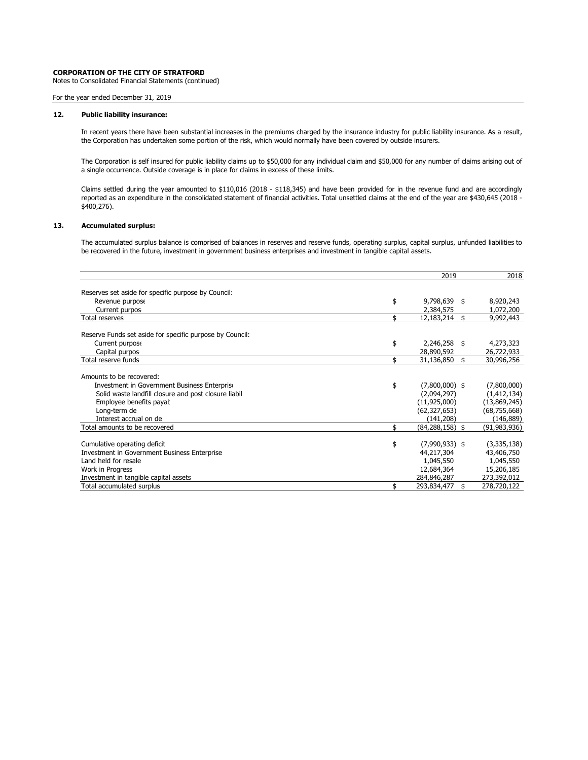Notes to Consolidated Financial Statements (continued)

### For the year ended December 31, 2019

### **12. Public liability insurance:**

In recent years there have been substantial increases in the premiums charged by the insurance industry for public liability insurance. As a result, the Corporation has undertaken some portion of the risk, which would normally have been covered by outside insurers.

The Corporation is self insured for public liability claims up to \$50,000 for any individual claim and \$50,000 for any number of claims arising out of a single occurrence. Outside coverage is in place for claims in excess of these limits.

Claims settled during the year amounted to \$110,016 (2018 - \$118,345) and have been provided for in the revenue fund and are accordingly reported as an expenditure in the consolidated statement of financial activities. Total unsettled claims at the end of the year are \$430,645 (2018 - \$400,276).

### **13. Accumulated surplus:**

The accumulated surplus balance is comprised of balances in reserves and reserve funds, operating surplus, capital surplus, unfunded liabilities to be recovered in the future, investment in government business enterprises and investment in tangible capital assets.

|                                                          | 2019                      | 2018              |
|----------------------------------------------------------|---------------------------|-------------------|
|                                                          |                           |                   |
| Reserves set aside for specific purpose by Council:      |                           |                   |
| Revenue purpose                                          | \$<br>9,798,639 \$        | 8,920,243         |
| Current purpos                                           | 2,384,575                 | 1,072,200         |
| Total reserves                                           | 12,183,214 \$             | 9,992,443         |
| Reserve Funds set aside for specific purpose by Council: |                           |                   |
| Current purpose                                          | \$<br>2,246,258           | \$<br>4,273,323   |
| Capital purpos                                           | 28,890,592                | 26,722,933        |
| Total reserve funds                                      | \$<br>31,136,850          | \$<br>30,996,256  |
| Amounts to be recovered:                                 |                           |                   |
| <b>Investment in Government Business Enterprise</b>      | \$<br>$(7,800,000)$ \$    | (7,800,000)       |
| Solid waste landfill closure and post closure liabil     | (2,094,297)               | (1,412,134)       |
| Employee benefits payat                                  | (11, 925, 000)            | (13,869,245)      |
| Long-term de                                             | (62, 327, 653)            | (68, 755, 668)    |
| Interest accrual on de                                   | (141, 208)                | (146, 889)        |
| Total amounts to be recovered                            | \$<br>$(84, 288, 158)$ \$ | (91, 983, 936)    |
| Cumulative operating deficit                             | \$<br>$(7,990,933)$ \$    | (3,335,138)       |
| Investment in Government Business Enterprise             | 44,217,304                | 43,406,750        |
| Land held for resale                                     | 1,045,550                 | 1,045,550         |
|                                                          |                           |                   |
| Work in Progress                                         | 12,684,364                | 15,206,185        |
| Investment in tangible capital assets                    | 284,846,287               | 273,392,012       |
| Total accumulated surplus                                | \$<br>293,834,477         | \$<br>278,720,122 |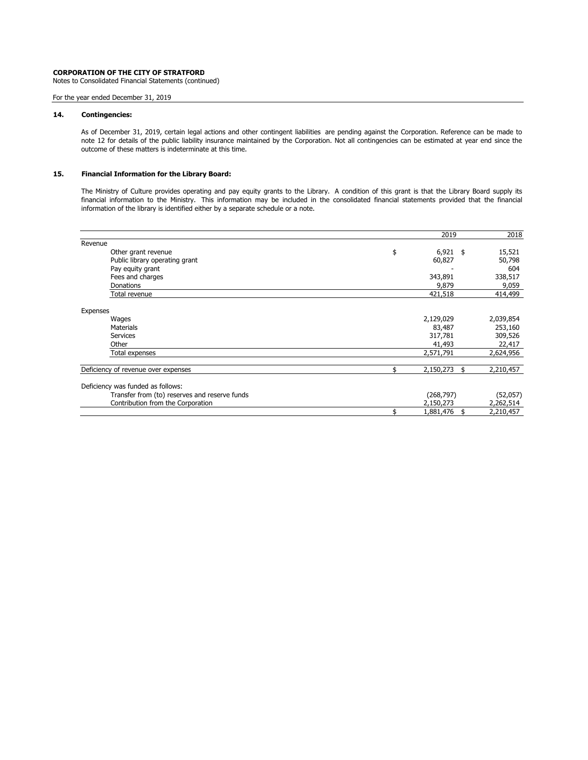Notes to Consolidated Financial Statements (continued)

### For the year ended December 31, 2019

### **14. Contingencies:**

As of December 31, 2019, certain legal actions and other contingent liabilities are pending against the Corporation. Reference can be made to note 12 for details of the public liability insurance maintained by the Corporation. Not all contingencies can be estimated at year end since the outcome of these matters is indeterminate at this time.

### **15. Financial Information for the Library Board:**

The Ministry of Culture provides operating and pay equity grants to the Library. A condition of this grant is that the Library Board supply its financial information to the Ministry. This information may be included in the consolidated financial statements provided that the financial information of the library is identified either by a separate schedule or a note.

|                                               | 2019             |                 | 2018     |
|-----------------------------------------------|------------------|-----------------|----------|
| Revenue                                       |                  |                 |          |
| Other grant revenue                           | \$<br>$6,921$ \$ |                 | 15,521   |
| Public library operating grant                | 60,827           |                 | 50,798   |
| Pay equity grant                              |                  |                 | 604      |
| Fees and charges                              | 343,891          |                 | 338,517  |
| <b>Donations</b>                              | 9,879            |                 | 9,059    |
| Total revenue                                 | 421,518          |                 | 414,499  |
| Expenses                                      |                  |                 |          |
| Wages                                         | 2,129,029        | 2,039,854       |          |
| <b>Materials</b>                              | 83,487           |                 | 253,160  |
| Services                                      | 317,781          |                 | 309,526  |
| Other                                         | 41,493           |                 | 22,417   |
| Total expenses                                | 2,571,791        | 2,624,956       |          |
|                                               |                  |                 |          |
| Deficiency of revenue over expenses           | 2,150,273        | 2,210,457<br>\$ |          |
| Deficiency was funded as follows:             |                  |                 |          |
| Transfer from (to) reserves and reserve funds | (268, 797)       |                 | (52,057) |
| Contribution from the Corporation             | 2,150,273        | 2,262,514       |          |
|                                               | 1,881,476        | 2,210,457<br>\$ |          |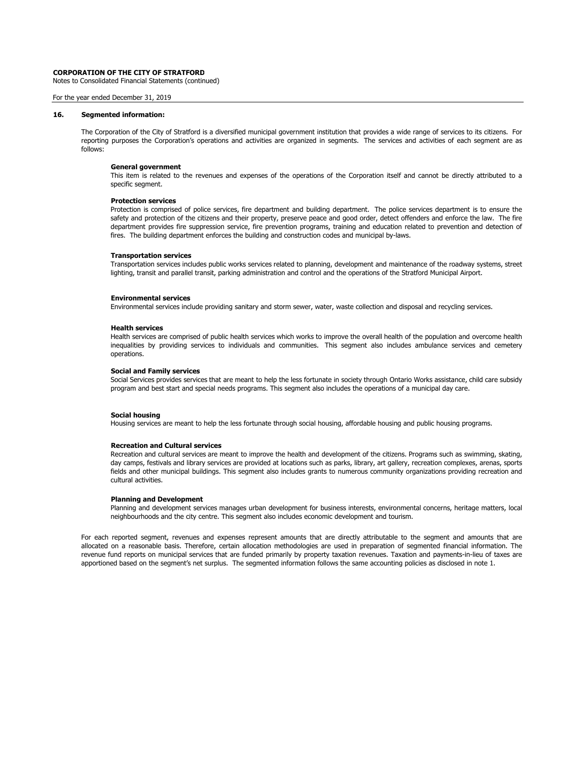Notes to Consolidated Financial Statements (continued)

#### For the year ended December 31, 2019

### **16. Segmented information:**

The Corporation of the City of Stratford is a diversified municipal government institution that provides a wide range of services to its citizens. For reporting purposes the Corporation's operations and activities are organized in segments. The services and activities of each segment are as follows:

### **General government**

This item is related to the revenues and expenses of the operations of the Corporation itself and cannot be directly attributed to a specific segment.

#### **Protection services**

Protection is comprised of police services, fire department and building department. The police services department is to ensure the safety and protection of the citizens and their property, preserve peace and good order, detect offenders and enforce the law. The fire department provides fire suppression service, fire prevention programs, training and education related to prevention and detection of fires. The building department enforces the building and construction codes and municipal by-laws.

#### **Transportation services**

Transportation services includes public works services related to planning, development and maintenance of the roadway systems, street lighting, transit and parallel transit, parking administration and control and the operations of the Stratford Municipal Airport.

#### **Environmental services**

Environmental services include providing sanitary and storm sewer, water, waste collection and disposal and recycling services.

#### **Health services**

Health services are comprised of public health services which works to improve the overall health of the population and overcome health inequalities by providing services to individuals and communities. This segment also includes ambulance services and cemetery operations.

#### **Social and Family services**

Social Services provides services that are meant to help the less fortunate in society through Ontario Works assistance, child care subsidy program and best start and special needs programs. This segment also includes the operations of a municipal day care.

#### **Social housing**

Housing services are meant to help the less fortunate through social housing, affordable housing and public housing programs.

### **Recreation and Cultural services**

Recreation and cultural services are meant to improve the health and development of the citizens. Programs such as swimming, skating, day camps, festivals and library services are provided at locations such as parks, library, art gallery, recreation complexes, arenas, sports fields and other municipal buildings. This segment also includes grants to numerous community organizations providing recreation and cultural activities.

### **Planning and Development**

Planning and development services manages urban development for business interests, environmental concerns, heritage matters, local neighbourhoods and the city centre. This segment also includes economic development and tourism.

For each reported segment, revenues and expenses represent amounts that are directly attributable to the segment and amounts that are allocated on a reasonable basis. Therefore, certain allocation methodologies are used in preparation of segmented financial information. The revenue fund reports on municipal services that are funded primarily by property taxation revenues. Taxation and payments-in-lieu of taxes are apportioned based on the segment's net surplus. The segmented information follows the same accounting policies as disclosed in note 1.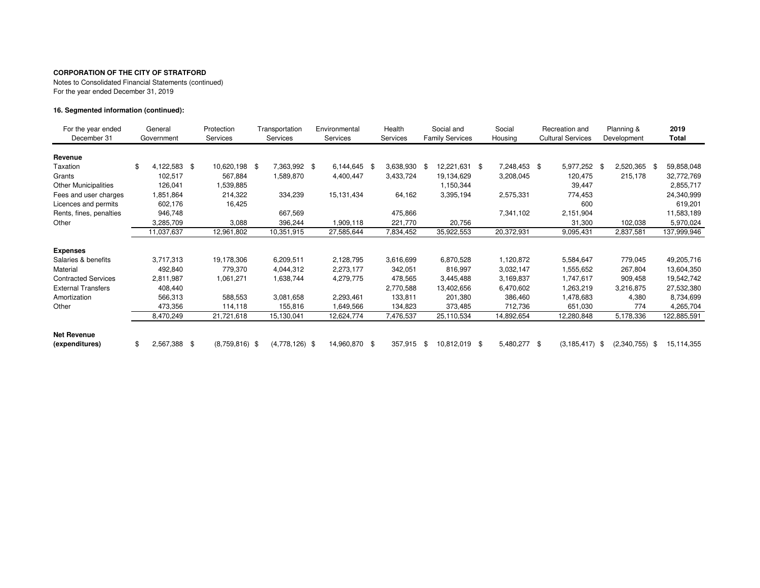Notes to Consolidated Financial Statements (continued) For the year ended December 31, 2019

# **16. Segmented information (continued):**

| For the year ended<br>December 31    | General<br>Government | Protection<br>Services | <b>Services</b> |                  | Transportation |               | Environmental<br>Services |      | Health<br>Services |     | Social and<br><b>Family Services</b> |  | Social<br>Housing  |  | Recreation and<br><b>Cultural Services</b> |      | Planning &<br>Development |  | 2019<br><b>Total</b> |
|--------------------------------------|-----------------------|------------------------|-----------------|------------------|----------------|---------------|---------------------------|------|--------------------|-----|--------------------------------------|--|--------------------|--|--------------------------------------------|------|---------------------------|--|----------------------|
| Revenue                              |                       |                        |                 |                  |                |               |                           |      |                    |     |                                      |  |                    |  |                                            |      |                           |  |                      |
| <b>Taxation</b>                      | \$<br>4,122,583 \$    | 10,620,198 \$          |                 | 7,363,992 \$     |                | 6,144,645 \$  | 3,638,930                 | - \$ | 12,221,631         | -\$ | 7,248,453 \$                         |  | 5,977,252 \$       |  | 2,520,365                                  | - \$ | 59,858,048                |  |                      |
| Grants                               | 102,517               | 567,884                |                 | 1,589,870        |                | 4,400,447     | 3,433,724                 |      | 19,134,629         |     | 3,208,045                            |  | 120,475            |  | 215,178                                    |      | 32,772,769                |  |                      |
| <b>Other Municipalities</b>          | 126,041               | 539,885                |                 |                  |                |               |                           |      | 1,150,344          |     |                                      |  | 39,447             |  |                                            |      | 2,855,717                 |  |                      |
| Fees and user charges                | 1,851,864             | 214,322                |                 | 334,239          |                | 15,131,434    | 64,162                    |      | 3,395,194          |     | 2,575,331                            |  | 774,453            |  |                                            |      | 24,340,999                |  |                      |
| Licences and permits                 | 602,176               | 16,425                 |                 |                  |                |               |                           |      |                    |     |                                      |  | 600                |  |                                            |      | 619,201                   |  |                      |
| Rents, fines, penalties              | 946,748               |                        |                 | 667,569          |                |               | 475,866                   |      |                    |     | 7,341,102                            |  | 2,151,904          |  |                                            |      | 11,583,189                |  |                      |
| Other                                | 3,285,709             | 3,088                  |                 | 396,244          |                | 909,118       | 221,770                   |      | 20,756             |     |                                      |  | 31,300             |  | 102,038                                    |      | 5,970,024                 |  |                      |
|                                      | 11,037,637            | 12,961,802             |                 | 10,351,915       |                | 27,585,644    | 7,834,452                 |      | 35,922,553         |     | 20,372,931                           |  | 9,095,431          |  | 2,837,581                                  |      | 137,999,946               |  |                      |
| <b>Expenses</b>                      |                       |                        |                 |                  |                |               |                           |      |                    |     |                                      |  |                    |  |                                            |      |                           |  |                      |
| Salaries & benefits                  | 3,717,313             | 19,178,306             |                 | 6,209,511        |                | 2,128,795     | 3,616,699                 |      | 6,870,528          |     | 1,120,872                            |  | 5,584,647          |  | 779,045                                    |      | 49,205,716                |  |                      |
| Material                             | 492,840               | 779,370                |                 | 4,044,312        |                | 2,273,177     | 342,051                   |      | 816,997            |     | 3,032,147                            |  | 1,555,652          |  | 267,804                                    |      | 13,604,350                |  |                      |
| <b>Contracted Services</b>           | 2,811,987             | 1,061,271              |                 | 1,638,744        |                | 4,279,775     | 478,565                   |      | 3,445,488          |     | 3,169,837                            |  | 1,747,617          |  | 909,458                                    |      | 19,542,742                |  |                      |
| <b>External Transfers</b>            | 408,440               |                        |                 |                  |                |               | 2,770,588                 |      | 13,402,656         |     | 6,470,602                            |  | 1,263,219          |  | 3,216,875                                  |      | 27,532,380                |  |                      |
| Amortization                         | 566,313               | 588,553                |                 | 3,081,658        |                | 2,293,461     | 133,811                   |      | 201,380            |     | 386,460                              |  | 1,478,683          |  | 4,380                                      |      | 8,734,699                 |  |                      |
| Other                                | 473,356               | 114,118                |                 | 155,816          |                | 1,649,566     | 134,823                   |      | 373,485            |     | 712,736                              |  | 651,030            |  | 774                                        |      | 4,265,704                 |  |                      |
|                                      | 8,470,249             | 21,721,618             |                 | 15,130,041       |                | 12,624,774    | 7,476,537                 |      | 25,110,534         |     | 14,892,654                           |  | 12,280,848         |  | 5,178,336                                  |      | 122,885,591               |  |                      |
| <b>Net Revenue</b><br>(expenditures) | \$<br>2,567,388 \$    | $(8,759,816)$ \$       |                 | $(4,778,126)$ \$ |                | 14,960,870 \$ | 357,915                   | \$   | 10,812,019         | \$  | 5,480,277 \$                         |  | $(3, 185, 417)$ \$ |  | (2,340,755)                                | -\$  | 15,114,355                |  |                      |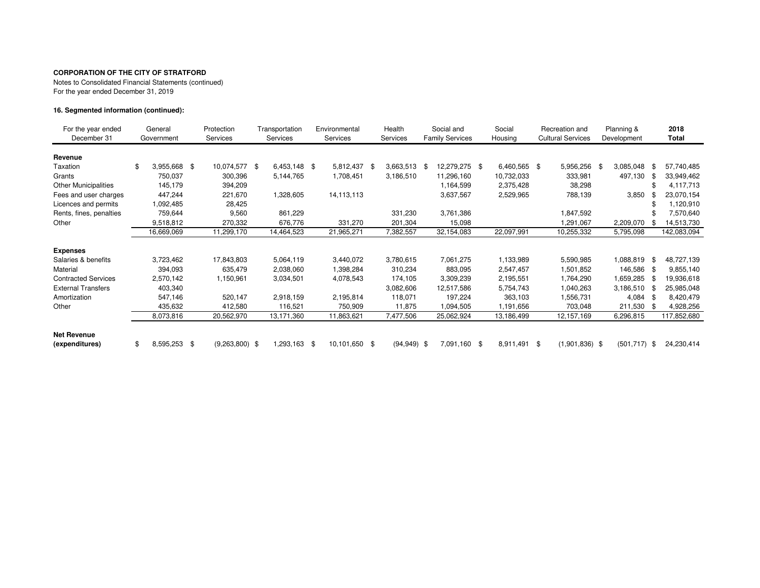Notes to Consolidated Financial Statements (continued) For the year ended December 31, 2019

# **16. Segmented information (continued):**

| For the year ended<br>December 31    | General | Government   | Protection<br>Services | Transportation<br>Services | Environmental<br>Services | Health<br>Services |                | Social and<br><b>Family Services</b> |               | Social<br>Housing  | Recreation and<br><b>Cultural Services</b> |      | Planning &<br>Development |      | 2018<br><b>Total</b> |
|--------------------------------------|---------|--------------|------------------------|----------------------------|---------------------------|--------------------|----------------|--------------------------------------|---------------|--------------------|--------------------------------------------|------|---------------------------|------|----------------------|
| Revenue                              |         |              |                        |                            |                           |                    |                |                                      |               |                    |                                            |      |                           |      |                      |
| Taxation                             | \$      | 3,955,668 \$ | 10,074,577 \$          | 6,453,148 \$               | 5,812,437 \$              |                    | 3,663,513      | \$                                   | 12,279,275 \$ | 6,460,565 \$       | 5,956,256                                  | - \$ | 3,085,048                 | - 5  | 57,740,485           |
| Grants                               |         | 750,037      | 300,396                | 5,144,765                  | 1,708,451                 |                    | 3,186,510      |                                      | 11,296,160    | 10,732,033         | 333,981                                    |      | 497,130                   | -\$  | 33,949,462           |
| <b>Other Municipalities</b>          |         | 145,179      | 394,209                |                            |                           |                    |                |                                      | 1,164,599     | 2,375,428          | 38,298                                     |      |                           | .S   | 4,117,713            |
| Fees and user charges                |         | 447,244      | 221,670                | 1,328,605                  | 14,113,113                |                    |                |                                      | 3,637,567     | 2,529,965          | 788,139                                    |      | 3,850                     | - \$ | 23,070,154           |
| Licences and permits                 |         | 1,092,485    | 28,425                 |                            |                           |                    |                |                                      |               |                    |                                            |      |                           |      | 1,120,910            |
| Rents, fines, penalties              |         | 759,644      | 9,560                  | 861,229                    |                           |                    | 331,230        |                                      | 3,761,386     |                    | 1,847,592                                  |      |                           |      | 7,570,640            |
| Other                                |         | 9,518,812    | 270,332                | 676,776                    | 331,270                   |                    | 201,304        |                                      | 15,098        |                    | 1,291,067                                  |      | 2,209,070                 | Y.   | 14,513,730           |
|                                      |         | 16,669,069   | 11,299,170             | 14,464,523                 | 21,965,271                |                    | 7,382,557      |                                      | 32,154,083    | 22,097,991         | 10,255,332                                 |      | 5,795,098                 |      | 142,083,094          |
| <b>Expenses</b>                      |         |              |                        |                            |                           |                    |                |                                      |               |                    |                                            |      |                           |      |                      |
| Salaries & benefits                  |         | 3,723,462    | 17,843,803             | 5,064,119                  | 3,440,072                 |                    | 3,780,615      |                                      | 7,061,275     | 1,133,989          | 5,590,985                                  |      | 1,088,819                 | -\$  | 48,727,139           |
| Material                             |         | 394,093      | 635,479                | 2,038,060                  | 1,398,284                 |                    | 310,234        |                                      | 883,095       | 2,547,457          | 1,501,852                                  |      | 146,586                   | -\$  | 9,855,140            |
| <b>Contracted Services</b>           |         | 2,570,142    | 1,150,961              | 3,034,501                  | 4,078,543                 |                    | 174,105        |                                      | 3,309,239     | 2,195,551          | 1,764,290                                  |      | 1,659,285                 | Я.   | 19,936,618           |
| <b>External Transfers</b>            |         | 403,340      |                        |                            |                           |                    | 3,082,606      |                                      | 12,517,586    | 5,754,743          | 1,040,263                                  |      | 3,186,510                 | -\$  | 25,985,048           |
| Amortization                         |         | 547,146      | 520,147                | 2,918,159                  | 2,195,814                 |                    | 118,071        |                                      | 197,224       | 363,103            | 1,556,731                                  |      | 4,084                     | -\$  | 8,420,479            |
| Other                                |         | 435,632      | 412,580                | 116,521                    | 750,909                   |                    | 11,875         |                                      | 1,094,505     | 1,191,656          | 703,048                                    |      | 211,530                   | -\$  | 4,928,256            |
|                                      |         | 8,073,816    | 20,562,970             | 13,171,360                 | 11,863,621                |                    | 7,477,506      |                                      | 25,062,924    | 13,186,499         | 12,157,169                                 |      | 6,296,815                 |      | 117,852,680          |
| <b>Net Revenue</b><br>(expenditures) | \$      | 8,595,253 \$ | $(9,263,800)$ \$       | 1,293,163 \$               | 10,101,650 \$             |                    | $(94, 949)$ \$ |                                      | 7,091,160     | \$<br>8,911,491 \$ | $(1,901,836)$ \$                           |      | $(501, 717)$ \$           |      | 24,230,414           |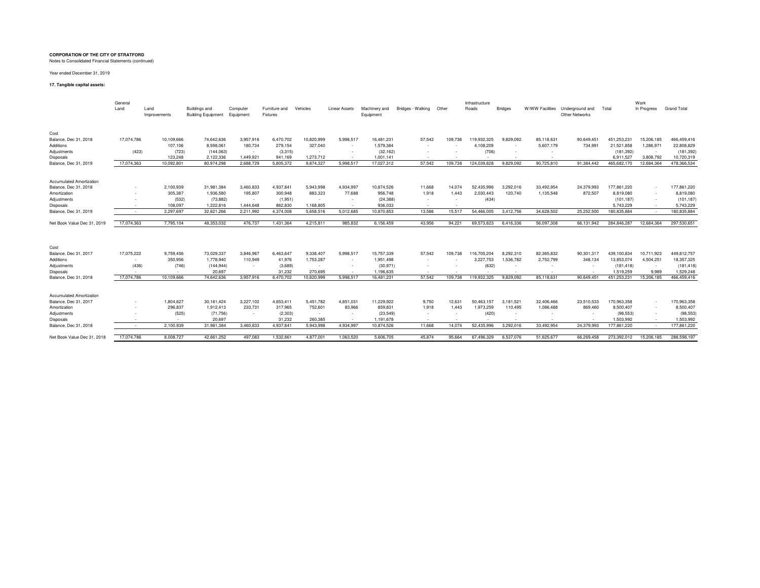Notes to Consolidated Financial Statements (continued)

Year ended December 31, 2019

**17. Tangible capital assets:** 

|                                 | General    |                      |                                                   |                          |                           |            |                      |                            |                          |         | Infrastructure |                |                 |                                   |             | Work        |                    |
|---------------------------------|------------|----------------------|---------------------------------------------------|--------------------------|---------------------------|------------|----------------------|----------------------------|--------------------------|---------|----------------|----------------|-----------------|-----------------------------------|-------------|-------------|--------------------|
|                                 | Land       | Land<br>Improvements | <b>Buildings and</b><br><b>Building Equipment</b> | Computer<br>Equipment    | Furniture and<br>Fixtures | Vehicles   | <b>Linear Assets</b> | Machinery and<br>Equipment | Bridges - Walking        | Other   | Roads          | <b>Bridges</b> | W/WW Facilities | Underground and<br>Other Networks | Total       | In Progress | <b>Grand Total</b> |
| Cost                            |            |                      |                                                   |                          |                           |            |                      |                            |                          |         |                |                |                 |                                   |             |             |                    |
| Balance, Dec 31, 2018           | 17,074,786 | 10,109,666           | 74,642,636                                        | 3.957.916                | 6,470,702                 | 10,820,999 | 5,998,517            | 16,481,231                 | 57.542                   | 109.738 | 119,932,325    | 9.829.092      | 85,118,631      | 90,649,451                        | 451,253,231 | 15,206,185  | 466,459,416        |
| Additions                       |            | 107,106              | 8,598,061                                         | 180,734                  | 279,154                   | 327.040    | $\sim$               | 1,579,384                  |                          |         | 4,108,209      |                | 5,607,179       | 734.991                           | 21,521,858  | 1,286,971   | 22,808,829         |
| Adiustments                     | (423)      | (723)                | (144, 063)                                        | $\sim$                   | (3,315)                   | ٠          | $\sim$               | (32, 162)                  |                          |         | (706)          | $\sim$         |                 |                                   | (181, 392)  | $\sim$      | (181, 392)         |
| Disposals                       |            | 123,248              | 2.122.336                                         | 1.449.921                | 941.169                   | 1.273.712  | $\sim$               | 1,001,141                  |                          |         |                | $\sim$         |                 |                                   | 6.911.527   | 3,808,792   | 10,720,319         |
| Balance, Dec 31, 2019           | 17,074,363 | 10.092.801           | 80.974.298                                        | 2.688.729                | 5.805.372                 | 9.874.327  | 5.998.517            | 17,027,312                 | 57.542                   | 109.738 | 124.039.828    | 9.829.092      | 90.725.810      | 91.384.442                        | 465.682.170 | 12.684.364  | 478.366.534        |
|                                 |            |                      |                                                   |                          |                           |            |                      |                            |                          |         |                |                |                 |                                   |             |             |                    |
|                                 |            |                      |                                                   |                          |                           |            |                      |                            |                          |         |                |                |                 |                                   |             |             |                    |
| <b>Accumulated Amortization</b> |            |                      |                                                   |                          |                           |            |                      |                            |                          |         |                |                |                 |                                   |             |             |                    |
| Balance, Dec 31, 2018           |            | 2,100,939            | 31,981,384                                        | 3.460.833                | 4,937,841                 | 5.943.998  | 4,934,997            | 10.874.526                 | 11,668                   | 14.074  | 52.435.996     | 3.292.016      | 33.492.954      | 24.379.993                        | 177.861.220 |             | 177,861,220        |
| Amortization                    |            | 305,387              | 1,936,580                                         | 195,807                  | 300,948                   | 883,323    | 77,688               | 956,748                    | 1,918                    | 1.443   | 2,030,443      | 120,740        | 1,135,548       | 872,507                           | 8,819,080   |             | 8,819,080          |
| Adjustments                     |            | (532)                | (73, 882)                                         | $\overline{\phantom{a}}$ | (1,951)                   | $\sim$     | $\sim$               | (24, 388)                  |                          | $\sim$  | (434)          |                |                 |                                   | (101, 187)  |             | (101, 187)         |
| <b>Disposals</b>                |            | 108,097              | 1,222,816                                         | 1.444.648                | 862,830                   | 1.168.805  | $\sim$               | 936.033                    |                          |         |                |                |                 |                                   | 5.743.229   |             | 5,743,229          |
| Balance, Dec 31, 2019           |            | 2.297.697            | 32,621,266                                        | 2,211,992                | 4,374,008                 | 5,658,516  | 5,012,685            | 10,870,853                 | 13,586                   | 15,517  | 54,466,005     | 3,412,756      | 34.628.502      | 25.252.500                        | 180.835.884 | $\sim$      | 180,835,884        |
|                                 |            |                      |                                                   |                          |                           |            |                      |                            |                          |         |                |                |                 |                                   |             |             |                    |
| Net Book Value Dec 31, 2019     | 17.074.363 | 7.795.104            | 48.353.032                                        | 476,737                  | 1.431.364                 | 4.215.811  | 985.832              | 6.156.459                  | 43.956                   | 94.221  | 69.573.823     | 6.416.336      | 56.097.308      | 66.131.942                        | 284.846.287 | 12.684.364  | 297,530,651        |
|                                 |            |                      |                                                   |                          |                           |            |                      |                            |                          |         |                |                |                 |                                   |             |             |                    |
|                                 |            |                      |                                                   |                          |                           |            |                      |                            |                          |         |                |                |                 |                                   |             |             |                    |
| Cost                            |            |                      |                                                   |                          |                           |            |                      |                            |                          |         |                |                |                 |                                   |             |             |                    |
| Balance, Dec 31, 2017           | 17,075,222 | 9,759,456            | 73,029,337                                        | 3.846.967                | 6,463,647                 | 9.338.407  | 5,998,517            | 15,757,339                 | 57.542                   | 109,738 | 116,705,204    | 8.292.310      | 82,365,832      | 90,301,317                        | 439,100,834 | 10,711,923  | 449,812,757        |
| Additions                       |            | 350.956              | 1.778.940                                         | 110.949                  | 41,976                    | 1,753,287  | $\sim$               | 1,951,498                  |                          |         | 3.227.753      | 1,536,782      | 2,752,799       | 348,134                           | 13,853,074  | 4,504,251   | 18,357,325         |
| Adiustments                     | (436)      | (746)                | (144, 944)                                        |                          | (3,689)                   | $\sim$     | $\sim$               | (30, 971)                  |                          | $\sim$  | (632)          | $\sim$         | $\sim$          |                                   | (181, 418)  | $\sim$ $-$  | (181, 418)         |
| <b>Disposals</b>                | $\sim$     | $\sim$               | 20,697                                            |                          | 31,232                    | 270,695    | $\sim$               | 1,196,635                  |                          |         |                | $\sim$         | $\sim$          |                                   | 1.519.259   | 9,989       | 1,529,248          |
| Balance, Dec 31, 2018           | 17.074.786 | 10.109.666           | 74.642.636                                        | 3.957.916                | 6.470.702                 | 10.820.999 | 5.998.517            | 16,481,231                 | 57.542                   | 109.738 | 119.932.325    | 9.829.092      | 85.118.631      | 90.649.451                        | 451.253.231 | 15,206,185  | 466.459.416        |
|                                 |            |                      |                                                   |                          |                           |            |                      |                            |                          |         |                |                |                 |                                   |             |             |                    |
|                                 |            |                      |                                                   |                          |                           |            |                      |                            |                          |         |                |                |                 |                                   |             |             |                    |
| <b>Accumulated Amortization</b> |            |                      |                                                   |                          |                           |            |                      |                            |                          |         |                |                |                 |                                   |             |             |                    |
| Balance, Dec 31, 2017           |            | 1,804,627            | 30.161.424                                        | 3,227,102                | 4,653,411                 | 5.451.782  | 4,851,031            | 11,229,922                 | 9,750                    | 12.631  | 50,463,157     | 3,181,521      | 32,406,466      | 23,510,533                        | 170,963,358 |             | 170,963,358        |
| Amortization                    |            | 296,837              | 1.912.413                                         | 233.731                  | 317,965                   | 752,601    | 83.966               | 859,831                    | 1.918                    | 1.443   | 1,973,259      | 110,495        | 1,086,488       | 869,460                           | 8,500,407   |             | 8,500,407          |
| Adjustments                     |            | (525)                | (71, 756)                                         | $\sim$                   | (2, 303)                  | $\sim$     | $\sim$               | (23, 549)                  | $\overline{\phantom{a}}$ | $\sim$  | (420)          | $\sim$         | $\sim$          |                                   | (98, 553)   | $\sim$      | (98, 553)          |
| Disposals                       |            | $\sim$               | 20,697                                            |                          | 31,232                    | 260,385    | $\sim$               | 1,191,678                  |                          | ٠       |                |                |                 |                                   | 1,503,992   |             | 1,503,992          |
| Balance, Dec 31, 2018           |            | 2.100.939            | 31.981.384                                        | 3.460.833                | 4.937.841                 | 5.943.998  | 4.934.997            | 10.874.526                 | 11.668                   | 14.074  | 52.435.996     | 3.292.016      | 33.492.954      | 24.379.993                        | 177.861.220 |             | 177,861,220        |
|                                 |            |                      |                                                   |                          |                           |            |                      |                            |                          |         |                |                |                 |                                   |             |             |                    |
| Net Book Value Dec 31, 2018     | 17.074.786 | 8.008.727            | 42.661.252                                        | 497.083                  | 1.532.861                 | 4.877.001  | 1.063.520            | 5.606.705                  | 45.874                   | 95.664  | 67.496.329     | 6.537.076      | 51.625.677      | 66,269,458                        | 273.392.012 | 15.206.185  | 288,598,197        |